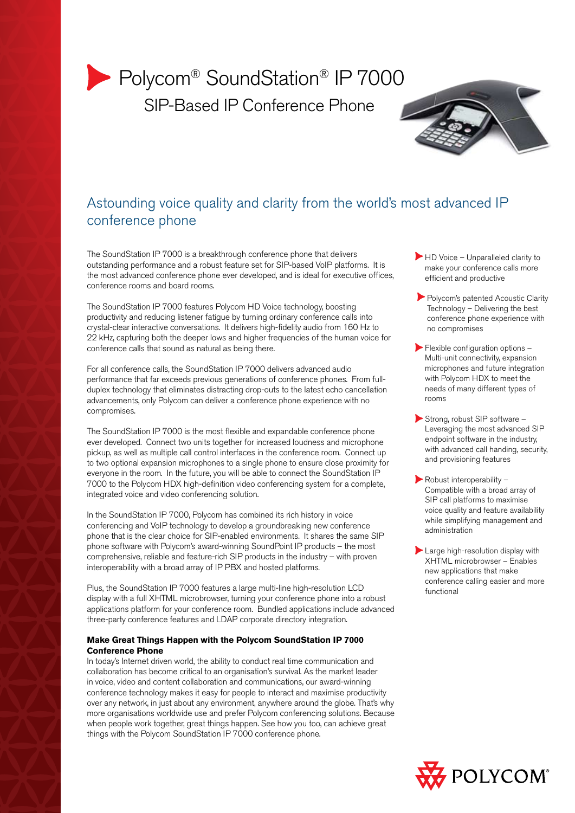# ▶ Polycom<sup>®</sup> SoundStation<sup>®</sup> IP 7000 SIP-Based IP Conference Phone



# Astounding voice quality and clarity from the world's most advanced IP conference phone

The SoundStation IP 7000 is a breakthrough conference phone that delivers outstanding performance and a robust feature set for SIP-based VoIP platforms. It is the most advanced conference phone ever developed, and is ideal for executive offices, conference rooms and board rooms.

The SoundStation IP 7000 features Polycom HD Voice technology, boosting productivity and reducing listener fatigue by turning ordinary conference calls into crystal-clear interactive conversations. It delivers high-fidelity audio from 160 Hz to 22 kHz, capturing both the deeper lows and higher frequencies of the human voice for conference calls that sound as natural as being there.

For all conference calls, the SoundStation IP 7000 delivers advanced audio performance that far exceeds previous generations of conference phones. From fullduplex technology that eliminates distracting drop-outs to the latest echo cancellation advancements, only Polycom can deliver a conference phone experience with no compromises.

The SoundStation IP 7000 is the most flexible and expandable conference phone ever developed. Connect two units together for increased loudness and microphone pickup, as well as multiple call control interfaces in the conference room. Connect up to two optional expansion microphones to a single phone to ensure close proximity for everyone in the room. In the future, you will be able to connect the SoundStation IP 7000 to the Polycom HDX high-definition video conferencing system for a complete, integrated voice and video conferencing solution.

In the SoundStation IP 7000, Polycom has combined its rich history in voice conferencing and VoIP technology to develop a groundbreaking new conference phone that is the clear choice for SIP-enabled environments. It shares the same SIP phone software with Polycom's award-winning SoundPoint IP products – the most comprehensive, reliable and feature-rich SIP products in the industry – with proven interoperability with a broad array of IP PBX and hosted platforms.

Plus, the SoundStation IP 7000 features a large multi-line high-resolution LCD display with a full XHTML microbrowser, turning your conference phone into a robust applications platform for your conference room. Bundled applications include advanced three-party conference features and LDAP corporate directory integration.

# **Make Great Things Happen with the Polycom SoundStation IP 7000 Conference Phone**

In today's Internet driven world, the ability to conduct real time communication and collaboration has become critical to an organisation's survival. As the market leader in voice, video and content collaboration and communications, our award-winning conference technology makes it easy for people to interact and maximise productivity over any network, in just about any environment, anywhere around the globe. That's why more organisations worldwide use and prefer Polycom conferencing solutions. Because when people work together, great things happen. See how you too, can achieve great things with the Polycom SoundStation IP 7000 conference phone.

- HD Voice Unparalleled clarity to make your conference calls more efficient and productive
- Polycom's patented Acoustic Clarity Technology – Delivering the best conference phone experience with no compromises
- $\blacktriangleright$  Flexible configuration options  $-$ Multi-unit connectivity, expansion microphones and future integration with Polycom HDX to meet the needs of many different types of rooms
- Strong, robust SIP software -Leveraging the most advanced SIP endpoint software in the industry, with advanced call handing, security, and provisioning features
- Robust interoperability -Compatible with a broad array of SIP call platforms to maximise voice quality and feature availability while simplifying management and administration
- Large high-resolution display with XHTML microbrowser – Enables new applications that make conference calling easier and more functional